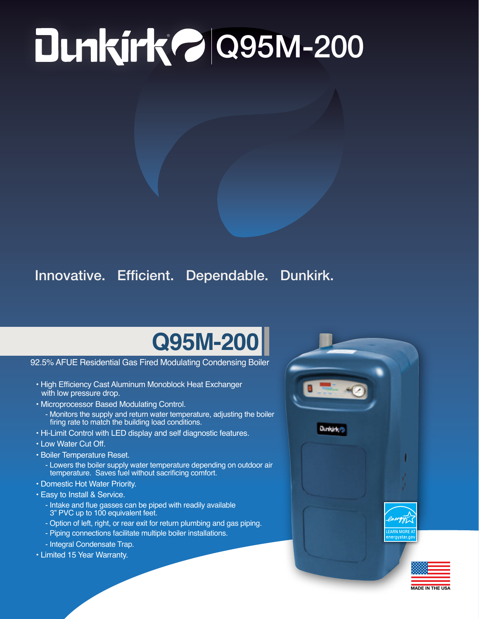## ® Q95M-200

## Innovative. Efficient. Dependable. Dunkirk.

## **Q95M-200**

92.5% AFUE Residential Gas Fired Modulating Condensing Boiler

- High Efficiency Cast Aluminum Monoblock Heat Exchanger with low pressure drop.
- Microprocessor Based Modulating Control.
	- Monitors the supply and return water temperature, adjusting the boiler firing rate to match the building load conditions.
- Hi-Limit Control with LED display and self diagnostic features.
- Low Water Cut Off.
- Boiler Temperature Reset.
	- Lowers the boiler supply water temperature depending on outdoor air temperature. Saves fuel without sacrificing comfort.
- Domestic Hot Water Priority.
- Easy to Install & Service.
	- Intake and flue gasses can be piped with readily available 3" PVC up to 100 equivalent feet.
	- Option of left, right, or rear exit for return plumbing and gas piping.
	- Piping connections facilitate multiple boiler installations.
	- Integral Condensate Trap.
- Limited 15 Year Warranty.